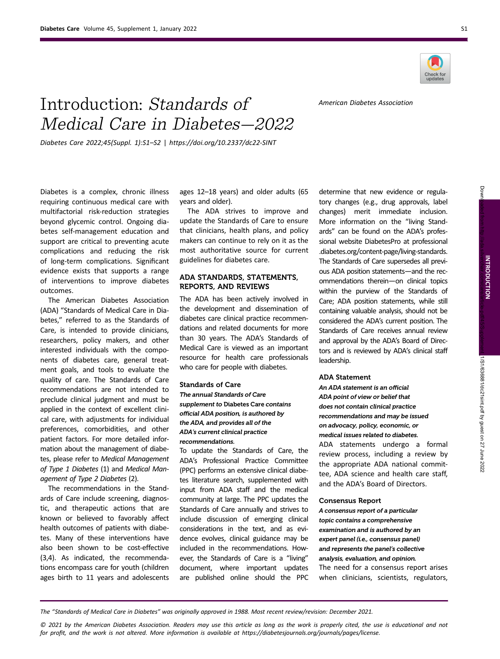

American Diabetes Association

# Introduction: Standards of Medical Care in Diabetes—2022

Diabetes Care 2022;45(Suppl. 1):S1–S2 | [https://doi.org/10.2337/dc22-SINT](http://doi.org10.2337/dc22-SINT)

Diabetes is a complex, chronic illness requiring continuous medical care with multifactorial risk-reduction strategies beyond glycemic control. Ongoing diabetes self-management education and support are critical to preventing acute complications and reducing the risk of long-term complications. Significant evidence exists that supports a range of interventions to improve diabetes outcomes.

The American Diabetes Association (ADA) "Standards of Medical Care in Diabetes," referred to as the Standards of Care, is intended to provide clinicians, researchers, policy makers, and other interested individuals with the components of diabetes care, general treatment goals, and tools to evaluate the quality of care. The Standards of Care recommendations are not intended to preclude clinical judgment and must be applied in the context of excellent clinical care, with adjustments for individual preferences, comorbidities, and other patient factors. For more detailed information about the management of diabetes, please refer to Medical Management of Type 1 Diabetes (1) and Medical Management of Type 2 Diabetes (2).

The recommendations in the Standards of Care include screening, diagnostic, and therapeutic actions that are known or believed to favorably affect health outcomes of patients with diabetes. Many of these interventions have also been shown to be cost-effective (3,4). As indicated, the recommendations encompass care for youth (children ages birth to 11 years and adolescents ages 12–18 years) and older adults (65 years and older).

The ADA strives to improve and update the Standards of Care to ensure that clinicians, health plans, and policy makers can continue to rely on it as the most authoritative source for current guidelines for diabetes care.

## ADA STANDARDS, STATEMENTS, REPORTS, AND REVIEWS

The ADA has been actively involved in the development and dissemination of diabetes care clinical practice recommendations and related documents for more than 30 years. The ADA's Standards of Medical Care is viewed as an important resource for health care professionals who care for people with diabetes.

#### Standards of Care

The annual Standards of Care supplement to Diabetes Care contains official ADA position, is authored by the ADA, and provides all of the ADA's current clinical practice recommendations.

To update the Standards of Care, the ADA's Professional Practice Committee (PPC) performs an extensive clinical diabetes literature search, supplemented with input from ADA staff and the medical community at large. The PPC updates the Standards of Care annually and strives to include discussion of emerging clinical considerations in the text, and as evidence evolves, clinical guidance may be included in the recommendations. However, the Standards of Care is a "living" document, where important updates are published online should the PPC

determine that new evidence or regulatory changes (e.g., drug approvals, label changes) merit immediate inclusion. More information on the "living Standards" can be found on the ADA's professional website DiabetesPro at [professional](https://professional.diabetes.org/content-page/living-standards) [.diabetes.org/content-page/living-standards.](https://professional.diabetes.org/content-page/living-standards) The Standards of Care supersedes all previous ADA position statements—and the recommendations therein—on clinical topics within the purview of the Standards of Care; ADA position statements, while still containing valuable analysis, should not be considered the ADA's current position. The Standards of Care receives annual review and approval by the ADA's Board of Directors and is reviewed by ADA's clinical staff leadership.

#### ADA Statement

An ADA statement is an official ADA point of view or belief that does not contain clinical practice recommendations and may be issued on advocacy, policy, economic, or medical issues related to diabetes.

ADA statements undergo a formal review process, including a review by the appropriate ADA national committee, ADA science and health care staff, and the ADA's Board of Directors.

#### Consensus Report

A consensus report of a particular topic contains a comprehensive examination and is authored by an expert panel (i.e., consensus panel) and represents the panel's collective analysis, evaluation, and opinion. The need for a consensus report arises when clinicians, scientists, regulators,

The "Standards of Medical Care in Diabetes" was originally approved in 1988. Most recent review/revision: December 2021.

© 2021 by the American Diabetes Association. Readers may use this article as long as the work is properly cited, the use is educational and not for profit, and the work is not altered. More information is available at [https://diabetesjournals.org/journals/pages/license.](https://diabetesjournals.org/journals/pages/license)